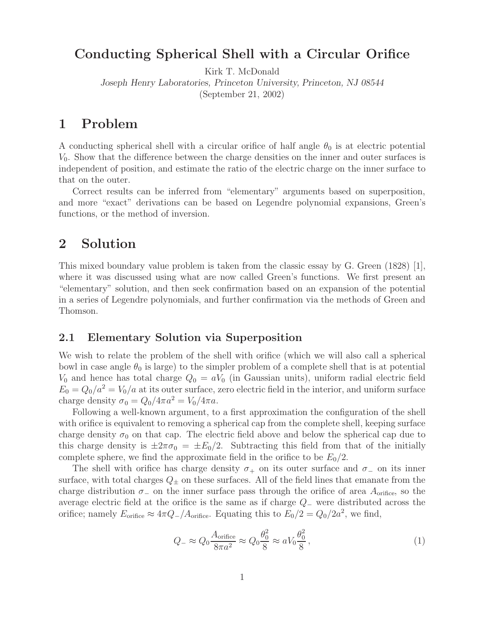## **Conducting Spherical Shell with a Circular Orifice**

Kirk T. McDonald

*Joseph Henry Laboratories, Princeton University, Princeton, NJ 08544* (September 21, 2002)

### **1 Problem**

A conducting spherical shell with a circular orifice of half angle  $\theta_0$  is at electric potential  $V_0$ . Show that the difference between the charge densities on the inner and outer surfaces is independent of position, and estimate the ratio of the electric charge on the inner surface to that on the outer.

Correct results can be inferred from "elementary" arguments based on superposition, and more "exact" derivations can be based on Legendre polynomial expansions, Green's functions, or the method of inversion.

## **2 Solution**

This mixed boundary value problem is taken from the classic essay by G. Green (1828) [1], where it was discussed using what are now called Green's functions. We first present an "elementary" solution, and then seek confirmation based on an expansion of the potential in a series of Legendre polynomials, and further confirmation via the methods of Green and Thomson.

#### **2.1 Elementary Solution via Superposition**

We wish to relate the problem of the shell with orifice (which we will also call a spherical bowl in case angle  $\theta_0$  is large) to the simpler problem of a complete shell that is at potential  $V_0$  and hence has total charge  $Q_0 = aV_0$  (in Gaussian units), uniform radial electric field  $E_0 = Q_0/a^2 = V_0/a$  at its outer surface, zero electric field in the interior, and uniform surface charge density  $\sigma_0 = Q_0/4\pi a^2 = V_0/4\pi a$ .

Following a well-known argument, to a first approximation the configuration of the shell with orifice is equivalent to removing a spherical cap from the complete shell, keeping surface charge density  $\sigma_0$  on that cap. The electric field above and below the spherical cap due to this charge density is  $\pm 2\pi\sigma_0 = \pm E_0/2$ . Subtracting this field from that of the initially complete sphere, we find the approximate field in the orifice to be  $E_0/2$ .

The shell with orifice has charge density  $\sigma_+$  on its outer surface and  $\sigma_-$  on its inner surface, with total charges  $Q_{\pm}$  on these surfaces. All of the field lines that emanate from the charge distribution  $\sigma_-$  on the inner surface pass through the orifice of area  $A_{\text{orifice}}$ , so the average electric field at the orifice is the same as if charge <sup>Q</sup><sup>−</sup> were distributed across the orifice; namely  $E_{\text{orifice}} \approx 4\pi Q_-/A_{\text{orifice}}$ . Equating this to  $E_0/2 = Q_0/2a^2$ , we find,

$$
Q_{-} \approx Q_0 \frac{A_{\text{orifice}}}{8\pi a^2} \approx Q_0 \frac{\theta_0^2}{8} \approx aV_0 \frac{\theta_0^2}{8},\qquad(1)
$$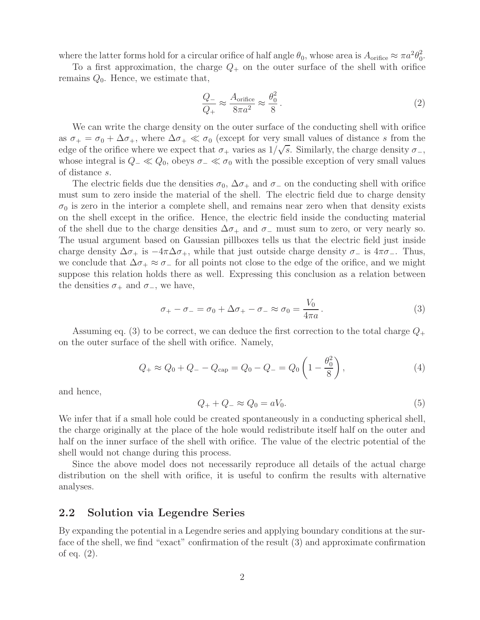where the latter forms hold for a circular orifice of half angle  $\theta_0$ , whose area is  $A_{\text{orifice}} \approx \pi a^2 \theta_0^2$ .

To a first approximation, the charge  $Q_+$  on the outer surface of the shell with orifice remains  $Q_0$ . Hence, we estimate that,

$$
\frac{Q_{-}}{Q_{+}} \approx \frac{A_{\text{orifice}}}{8\pi a^{2}} \approx \frac{\theta_{0}^{2}}{8}. \tag{2}
$$

We can write the charge density on the outer surface of the conducting shell with orifice as  $\sigma_+ = \sigma_0 + \Delta \sigma_+$ , where  $\Delta \sigma_+ \ll \sigma_0$  (except for very small values of distance s from the edge of the orifice where we expect that  $\sigma_+$  varies as  $1/\sqrt{s}$ . Similarly, the charge density  $\sigma_-$ , whose integral is  $Q_$   $\ll Q_0$ , obeys  $\sigma_$   $\ll \sigma_0$  with the possible exception of very small values of distance s.

The electric fields due the densities  $\sigma_0$ ,  $\Delta \sigma_+$  and  $\sigma_-$  on the conducting shell with orifice must sum to zero inside the material of the shell. The electric field due to charge density  $\sigma_0$  is zero in the interior a complete shell, and remains near zero when that density exists on the shell except in the orifice. Hence, the electric field inside the conducting material of the shell due to the charge densities  $\Delta \sigma_+$  and  $\sigma_-$  must sum to zero, or very nearly so. The usual argument based on Gaussian pillboxes tells us that the electric field just inside charge density  $\Delta \sigma_+$  is  $-4\pi \Delta \sigma_+$ , while that just outside charge density  $\sigma_-$  is  $4\pi \sigma_-$ . Thus, we conclude that  $\Delta \sigma_+ \approx \sigma_-$  for all points not close to the edge of the orifice, and we might suppose this relation holds there as well. Expressing this conclusion as a relation between the densities  $\sigma_+$  and  $\sigma_-$ , we have,

$$
\sigma_+ - \sigma_- = \sigma_0 + \Delta \sigma_+ - \sigma_- \approx \sigma_0 = \frac{V_0}{4\pi a}.
$$
\n(3)

Assuming eq. (3) to be correct, we can deduce the first correction to the total charge  $Q_+$ on the outer surface of the shell with orifice. Namely,

$$
Q_{+} \approx Q_{0} + Q_{-} - Q_{\text{cap}} = Q_{0} - Q_{-} = Q_{0} \left( 1 - \frac{\theta_{0}^{2}}{8} \right), \qquad (4)
$$

and hence,

$$
Q_+ + Q_- \approx Q_0 = aV_0. \tag{5}
$$

We infer that if a small hole could be created spontaneously in a conducting spherical shell, the charge originally at the place of the hole would redistribute itself half on the outer and half on the inner surface of the shell with orifice. The value of the electric potential of the shell would not change during this process.

Since the above model does not necessarily reproduce all details of the actual charge distribution on the shell with orifice, it is useful to confirm the results with alternative analyses.

#### **2.2 Solution via Legendre Series**

By expanding the potential in a Legendre series and applying boundary conditions at the surface of the shell, we find "exact" confirmation of the result (3) and approximate confirmation of eq. (2).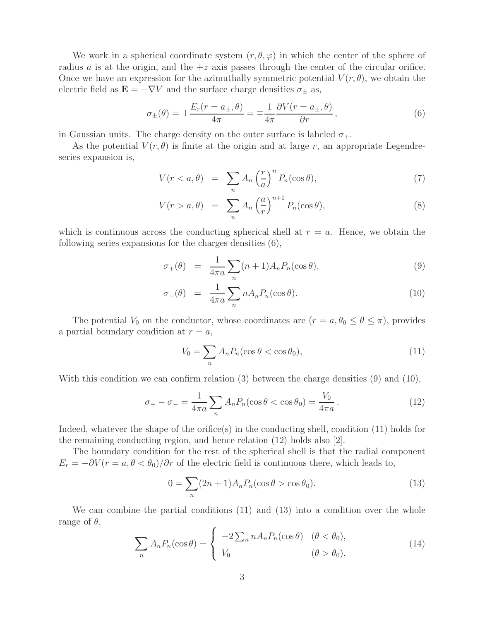We work in a spherical coordinate system  $(r, \theta, \varphi)$  in which the center of the sphere of radius a is at the origin, and the  $+z$  axis passes through the center of the circular orifice. Once we have an expression for the azimuthally symmetric potential  $V(r, \theta)$ , we obtain the electric field as  $\mathbf{E} = -\nabla V$  and the surface charge densities  $\sigma_{\pm}$  as,

$$
\sigma_{\pm}(\theta) = \pm \frac{E_r(r = a_{\pm}, \theta)}{4\pi} = \mp \frac{1}{4\pi} \frac{\partial V(r = a_{\pm}, \theta)}{\partial r}, \qquad (6)
$$

in Gaussian units. The charge density on the outer surface is labeled  $\sigma_{+}$ .

As the potential  $V(r, \theta)$  is finite at the origin and at large r, an appropriate Legendreseries expansion is,

$$
V(r < a, \theta) = \sum_{n} A_n \left(\frac{r}{a}\right)^n P_n(\cos \theta),\tag{7}
$$

$$
V(r > a, \theta) = \sum_{n} A_n \left(\frac{a}{r}\right)^{n+1} P_n(\cos \theta), \tag{8}
$$

which is continuous across the conducting spherical shell at  $r = a$ . Hence, we obtain the following series expansions for the charges densities (6),

$$
\sigma_+(\theta) = \frac{1}{4\pi a} \sum_n (n+1) A_n P_n(\cos\theta), \tag{9}
$$

$$
\sigma_{-}(\theta) = \frac{1}{4\pi a} \sum_{n} n A_n P_n(\cos \theta). \tag{10}
$$

The potential  $V_0$  on the conductor, whose coordinates are  $(r = a, \theta_0 \le \theta \le \pi)$ , provides a partial boundary condition at  $r = a$ ,

$$
V_0 = \sum_n A_n P_n(\cos \theta < \cos \theta_0),\tag{11}
$$

With this condition we can confirm relation (3) between the charge densities (9) and (10),

$$
\sigma_{+} - \sigma_{-} = \frac{1}{4\pi a} \sum_{n} A_n P_n(\cos \theta < \cos \theta_0) = \frac{V_0}{4\pi a} \,. \tag{12}
$$

Indeed, whatever the shape of the orifice(s) in the conducting shell, condition (11) holds for the remaining conducting region, and hence relation (12) holds also [2].

The boundary condition for the rest of the spherical shell is that the radial component  $E_r = -\partial V(r = a, \theta < \theta_0)/\partial r$  of the electric field is continuous there, which leads to,

$$
0 = \sum_{n} (2n+1) A_n P_n(\cos \theta > \cos \theta_0).
$$
 (13)

We can combine the partial conditions (11) and (13) into a condition over the whole range of  $\theta$ ,

$$
\sum_{n} A_n P_n(\cos \theta) = \begin{cases}\n-2 \sum_{n} n A_n P_n(\cos \theta) & (\theta < \theta_0), \\
V_0 & (\theta > \theta_0).\n\end{cases}
$$
\n(14)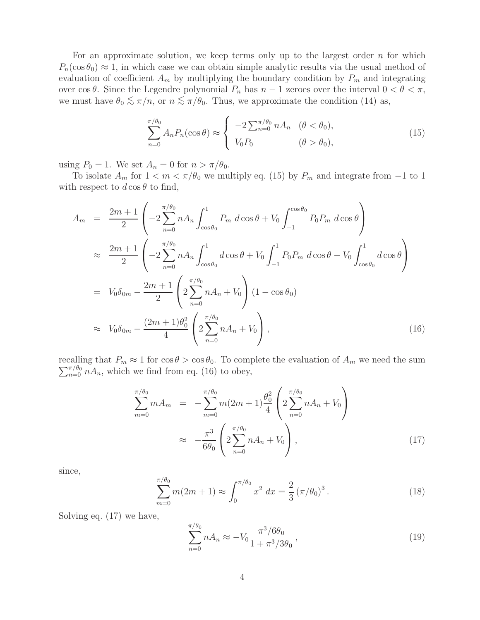For an approximate solution, we keep terms only up to the largest order  $n$  for which  $P_n(\cos\theta_0) \approx 1$ , in which case we can obtain simple analytic results via the usual method of evaluation of coefficient  $A_m$  by multiplying the boundary condition by  $P_m$  and integrating over cos  $\theta$ . Since the Legendre polynomial  $P_n$  has  $n-1$  zeroes over the interval  $0 < \theta < \pi$ , we must have  $\theta_0 \lesssim \pi/n$ , or  $n \lesssim \pi/\theta_0$ . Thus, we approximate the condition (14) as,

$$
\sum_{n=0}^{\pi/\theta_0} A_n P_n(\cos \theta) \approx \begin{cases} -2 \sum_{n=0}^{\pi/\theta_0} n A_n & (\theta < \theta_0), \\ V_0 P_0 & (\theta > \theta_0), \end{cases}
$$
(15)

using  $P_0 = 1$ . We set  $A_n = 0$  for  $n > \pi/\theta_0$ .

To isolate  $A_m$  for  $1 < m < \pi/\theta_0$  we multiply eq. (15) by  $P_m$  and integrate from -1 to 1 with respect to  $d \cos \theta$  to find,

$$
A_m = \frac{2m+1}{2} \left( -2 \sum_{n=0}^{\pi/\theta_0} n A_n \int_{\cos\theta_0}^1 P_m d\cos\theta + V_0 \int_{-1}^{\cos\theta_0} P_0 P_m d\cos\theta \right)
$$
  
\n
$$
\approx \frac{2m+1}{2} \left( -2 \sum_{n=0}^{\pi/\theta_0} n A_n \int_{\cos\theta_0}^1 d\cos\theta + V_0 \int_{-1}^1 P_0 P_m d\cos\theta - V_0 \int_{\cos\theta_0}^1 d\cos\theta \right)
$$
  
\n
$$
= V_0 \delta_{0m} - \frac{2m+1}{2} \left( 2 \sum_{n=0}^{\pi/\theta_0} n A_n + V_0 \right) (1 - \cos\theta_0)
$$
  
\n
$$
\approx V_0 \delta_{0m} - \frac{(2m+1)\theta_0^2}{4} \left( 2 \sum_{n=0}^{\pi/\theta_0} n A_n + V_0 \right), \qquad (16)
$$

recalling that  $P_m \approx 1$  for  $\cos \theta > \cos \theta_0$ . To complete the evaluation of  $A_m$  we need the sum  $\sum_{n=0}^{\pi/\theta_0} nA_n$ , which we find from eq. (16) to obey,

$$
\sum_{m=0}^{\pi/\theta_0} m A_m = -\sum_{m=0}^{\pi/\theta_0} m (2m+1) \frac{\theta_0^2}{4} \left( 2 \sum_{n=0}^{\pi/\theta_0} n A_n + V_0 \right)
$$
  

$$
\approx -\frac{\pi^3}{6\theta_0} \left( 2 \sum_{n=0}^{\pi/\theta_0} n A_n + V_0 \right), \tag{17}
$$

since,

$$
\sum_{m=0}^{\pi/\theta_0} m(2m+1) \approx \int_0^{\pi/\theta_0} x^2 dx = \frac{2}{3} (\pi/\theta_0)^3.
$$
 (18)

Solving eq. (17) we have,

$$
\sum_{n=0}^{\pi/ \theta_0} n A_n \approx -V_0 \frac{\pi^3 / 6\theta_0}{1 + \pi^3 / 3\theta_0},\tag{19}
$$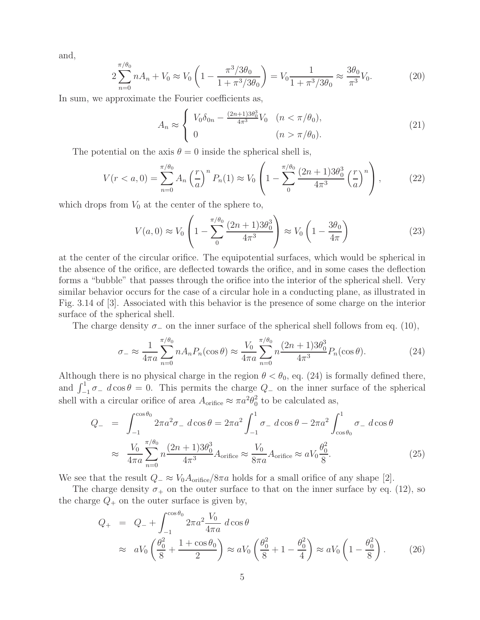and,

$$
2\sum_{n=0}^{\pi/\theta_0} nA_n + V_0 \approx V_0 \left(1 - \frac{\pi^3/3\theta_0}{1 + \pi^3/3\theta_0}\right) = V_0 \frac{1}{1 + \pi^3/3\theta_0} \approx \frac{3\theta_0}{\pi^3} V_0.
$$
 (20)

In sum, we approximate the Fourier coefficients as,

$$
A_n \approx \begin{cases} V_0 \delta_{0n} - \frac{(2n+1)3\theta_0^3}{4\pi^3} V_0 & (n < \pi/\theta_0), \\ 0 & (n > \pi/\theta_0). \end{cases}
$$
 (21)

The potential on the axis  $\theta = 0$  inside the spherical shell is,

$$
V(r < a, 0) = \sum_{n=0}^{\pi/\theta_0} A_n \left(\frac{r}{a}\right)^n P_n(1) \approx V_0 \left(1 - \sum_{n=0}^{\pi/\theta_0} \frac{(2n+1)3\theta_0^3}{4\pi^3} \left(\frac{r}{a}\right)^n\right),\tag{22}
$$

which drops from  $V_0$  at the center of the sphere to,

$$
V(a,0) \approx V_0 \left( 1 - \sum_{0}^{\pi/ \theta_0} \frac{(2n+1)3\theta_0^3}{4\pi^3} \right) \approx V_0 \left( 1 - \frac{3\theta_0}{4\pi} \right)
$$
(23)

at the center of the circular orifice. The equipotential surfaces, which would be spherical in the absence of the orifice, are deflected towards the orifice, and in some cases the deflection forms a "bubble" that passes through the orifice into the interior of the spherical shell. Very similar behavior occurs for the case of a circular hole in a conducting plane, as illustrated in Fig. 3.14 of [3]. Associated with this behavior is the presence of some charge on the interior surface of the spherical shell.

The charge density  $\sigma_-$  on the inner surface of the spherical shell follows from eq. (10),

$$
\sigma_{-} \approx \frac{1}{4\pi a} \sum_{n=0}^{\pi/\theta_0} n A_n P_n(\cos \theta) \approx \frac{V_0}{4\pi a} \sum_{n=0}^{\pi/\theta_0} n \frac{(2n+1)3\theta_0^3}{4\pi^3} P_n(\cos \theta). \tag{24}
$$

Although there is no physical charge in the region  $\theta < \theta_0$ , eq. (24) is formally defined there, and  $\int_{-1}^{1} \sigma_{-} d \cos \theta = 0$ . This permits the charge  $Q_{-}$  on the inner surface of the spherical shell with a circular orifice of area  $A_{\text{orifice}} \approx \pi a^2 \theta_0^2$  to be calculated as,

$$
Q_{-} = \int_{-1}^{\cos\theta_{0}} 2\pi a^{2} \sigma_{-} d\cos\theta = 2\pi a^{2} \int_{-1}^{1} \sigma_{-} d\cos\theta - 2\pi a^{2} \int_{\cos\theta_{0}}^{1} \sigma_{-} d\cos\theta
$$
  

$$
\approx \frac{V_{0}}{4\pi a} \sum_{n=0}^{\pi/\theta_{0}} n \frac{(2n+1)3\theta_{0}^{3}}{4\pi^{3}} A_{\text{orifice}} \approx \frac{V_{0}}{8\pi a} A_{\text{orifice}} \approx aV_{0} \frac{\theta_{0}^{2}}{8}.
$$
 (25)

We see that the result  $Q_{-} \approx V_0 A_{\text{orifice}}/8\pi a$  holds for a small orifice of any shape [2].

The charge density  $\sigma_+$  on the outer surface to that on the inner surface by eq. (12), so the charge  $Q_+$  on the outer surface is given by,

$$
Q_{+} = Q_{-} + \int_{-1}^{\cos \theta_{0}} 2\pi a^{2} \frac{V_{0}}{4\pi a} d\cos \theta
$$
  

$$
\approx aV_{0} \left(\frac{\theta_{0}^{2}}{8} + \frac{1 + \cos \theta_{0}}{2}\right) \approx aV_{0} \left(\frac{\theta_{0}^{2}}{8} + 1 - \frac{\theta_{0}^{2}}{4}\right) \approx aV_{0} \left(1 - \frac{\theta_{0}^{2}}{8}\right). \tag{26}
$$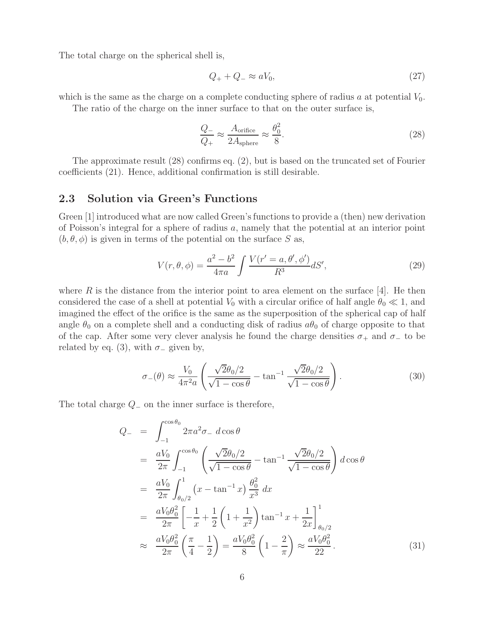The total charge on the spherical shell is,

$$
Q_+ + Q_- \approx aV_0,\tag{27}
$$

which is the same as the charge on a complete conducting sphere of radius  $a$  at potential  $V_0$ .

The ratio of the charge on the inner surface to that on the outer surface is,

$$
\frac{Q_{-}}{Q_{+}} \approx \frac{A_{\text{orifice}}}{2A_{\text{sphere}}} \approx \frac{\theta_0^2}{8}.
$$
\n(28)

The approximate result (28) confirms eq. (2), but is based on the truncated set of Fourier coefficients (21). Hence, additional confirmation is still desirable.

#### **2.3 Solution via Green's Functions**

Green [1] introduced what are now called Green's functions to provide a (then) new derivation of Poisson's integral for a sphere of radius a, namely that the potential at an interior point  $(b, \theta, \phi)$  is given in terms of the potential on the surface S as,

$$
V(r, \theta, \phi) = \frac{a^2 - b^2}{4\pi a} \int \frac{V(r' = a, \theta', \phi')}{R^3} dS',
$$
\n(29)

where  $R$  is the distance from the interior point to area element on the surface  $|4|$ . He then considered the case of a shell at potential  $V_0$  with a circular orifice of half angle  $\theta_0 \ll 1$ , and imagined the effect of the orifice is the same as the superposition of the spherical cap of half angle  $\theta_0$  on a complete shell and a conducting disk of radius  $a\theta_0$  of charge opposite to that of the cap. After some very clever analysis he found the charge densities  $\sigma_+$  and  $\sigma_-$  to be related by eq. (3), with  $\sigma_-\$  given by,

$$
\sigma_{-}(\theta) \approx \frac{V_0}{4\pi^2 a} \left( \frac{\sqrt{2}\theta_0/2}{\sqrt{1-\cos\theta}} - \tan^{-1} \frac{\sqrt{2}\theta_0/2}{\sqrt{1-\cos\theta}} \right). \tag{30}
$$

The total charge  $Q_$  on the inner surface is therefore,

$$
Q_{-} = \int_{-1}^{\cos\theta_{0}} 2\pi a^{2} \sigma_{-} d\cos\theta
$$
  
\n
$$
= \frac{aV_{0}}{2\pi} \int_{-1}^{\cos\theta_{0}} \left( \frac{\sqrt{2}\theta_{0}/2}{\sqrt{1-\cos\theta}} - \tan^{-1} \frac{\sqrt{2}\theta_{0}/2}{\sqrt{1-\cos\theta}} \right) d\cos\theta
$$
  
\n
$$
= \frac{aV_{0}}{2\pi} \int_{\theta_{0}/2}^{1} (x - \tan^{-1} x) \frac{\theta_{0}^{2}}{x^{3}} dx
$$
  
\n
$$
= \frac{aV_{0}\theta_{0}^{2}}{2\pi} \left[ -\frac{1}{x} + \frac{1}{2} \left( 1 + \frac{1}{x^{2}} \right) \tan^{-1} x + \frac{1}{2x} \right]_{\theta_{0}/2}^{1}
$$
  
\n
$$
\approx \frac{aV_{0}\theta_{0}^{2}}{2\pi} \left( \frac{\pi}{4} - \frac{1}{2} \right) = \frac{aV_{0}\theta_{0}^{2}}{8} \left( 1 - \frac{2}{\pi} \right) \approx \frac{aV_{0}\theta_{0}^{2}}{22}.
$$
 (31)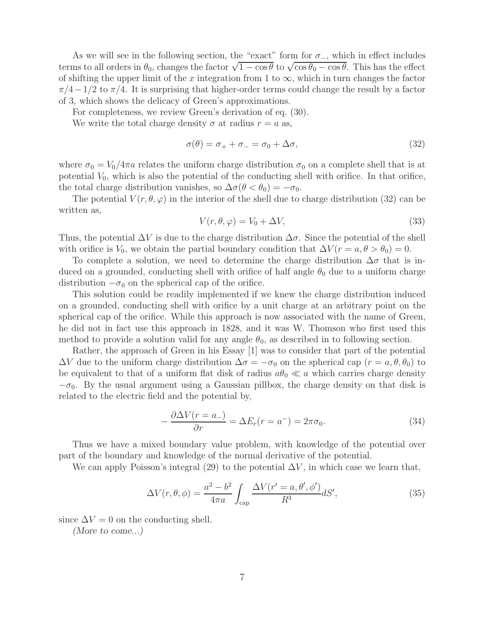As we will see in the following section, the "exact" form for  $\sigma_$ , which in effect includes terms to all orders in  $\theta_0$ , changes the factor  $\sqrt{1-\cos\theta}$  to  $\sqrt{\cos\theta_0-\cos\theta}$ . This has the effect of shifting the upper limit of the x integration from 1 to  $\infty$ , which in turn changes the factor  $\pi/4-1/2$  to  $\pi/4$ . It is surprising that higher-order terms could change the result by a factor of 3, which shows the delicacy of Green's approximations.

For completeness, we review Green's derivation of eq. (30).

We write the total charge density  $\sigma$  at radius  $r = a$  as,

$$
\sigma(\theta) = \sigma_+ + \sigma_- = \sigma_0 + \Delta\sigma,\tag{32}
$$

where  $\sigma_0 = V_0/4\pi a$  relates the uniform charge distribution  $\sigma_0$  on a complete shell that is at potential  $V_0$ , which is also the potential of the conducting shell with orifice. In that orifice, the total charge distribution vanishes, so  $\Delta \sigma (\theta < \theta_0) = -\sigma_0$ .

The potential  $V(r, \theta, \varphi)$  in the interior of the shell due to charge distribution (32) can be written as,

$$
V(r, \theta, \varphi) = V_0 + \Delta V,\tag{33}
$$

Thus, the potential  $\Delta V$  is due to the charge distribution  $\Delta \sigma$ . Since the potential of the shell with orifice is  $V_0$ , we obtain the partial boundary condition that  $\Delta V(r = a, \theta > \theta_0) = 0$ .

To complete a solution, we need to determine the charge distribution  $\Delta \sigma$  that is induced on a grounded, conducting shell with orifice of half angle  $\theta_0$  due to a uniform charge distribution  $-\sigma_0$  on the spherical cap of the orifice.

This solution could be readily implemented if we knew the charge distribution induced on a grounded, conducting shell with orifice by a unit charge at an arbitrary point on the spherical cap of the orifice. While this approach is now associated with the name of Green, he did not in fact use this approach in 1828, and it was W. Thomson who first used this method to provide a solution valid for any angle  $\theta_0$ , as described in to following section.

Rather, the approach of Green in his Essay [1] was to consider that part of the potential  $\Delta V$  due to the uniform charge distribution  $\Delta \sigma = -\sigma_0$  on the spherical cap  $(r = a, \theta, \theta_0)$  to be equivalent to that of a uniform flat disk of radius  $a\theta_0 \ll a$  which carries charge density  $-\sigma_0$ . By the usual argument using a Gaussian pillbox, the charge density on that disk is related to the electric field and the potential by,

$$
-\frac{\partial \Delta V(r=a_{-})}{\partial r} = \Delta E_r(r=a^{-}) = 2\pi\sigma_0.
$$
\n(34)

Thus we have a mixed boundary value problem, with knowledge of the potential over part of the boundary and knowledge of the normal derivative of the potential.

We can apply Poisson's integral (29) to the potential  $\Delta V$ , in which case we learn that,

$$
\Delta V(r,\theta,\phi) = \frac{a^2 - b^2}{4\pi a} \int_{\text{cap}} \frac{\Delta V(r'=a,\theta',\phi')}{R^3} dS',\tag{35}
$$

since  $\Delta V = 0$  on the conducting shell.

*(More to come...)*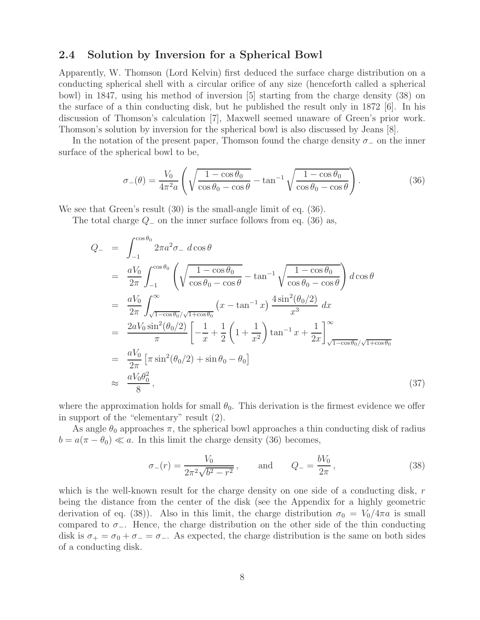#### **2.4 Solution by Inversion for a Spherical Bowl**

Apparently, W. Thomson (Lord Kelvin) first deduced the surface charge distribution on a conducting spherical shell with a circular orifice of any size (henceforth called a spherical bowl) in 1847, using his method of inversion [5] starting from the charge density (38) on the surface of a thin conducting disk, but he published the result only in 1872 [6]. In his discussion of Thomson's calculation [7], Maxwell seemed unaware of Green's prior work. Thomson's solution by inversion for the spherical bowl is also discussed by Jeans [8].

In the notation of the present paper, Thomson found the charge density  $\sigma_-\,$  on the inner surface of the spherical bowl to be,

$$
\sigma_{-}(\theta) = \frac{V_0}{4\pi^2 a} \left( \sqrt{\frac{1 - \cos \theta_0}{\cos \theta_0 - \cos \theta}} - \tan^{-1} \sqrt{\frac{1 - \cos \theta_0}{\cos \theta_0 - \cos \theta}} \right). \tag{36}
$$

We see that Green's result (30) is the small-angle limit of eq. (36).

The total charge  $Q_-\,$  on the inner surface follows from eq. (36) as,

$$
Q_{-} = \int_{-1}^{\cos\theta_{0}} 2\pi a^{2} \sigma_{-} d\cos\theta
$$
  
\n
$$
= \frac{aV_{0}}{2\pi} \int_{-1}^{\cos\theta_{0}} \left( \sqrt{\frac{1-\cos\theta_{0}}{\cos\theta_{0}-\cos\theta}} - \tan^{-1} \sqrt{\frac{1-\cos\theta_{0}}{\cos\theta_{0}-\cos\theta}} \right) d\cos\theta
$$
  
\n
$$
= \frac{aV_{0}}{2\pi} \int_{\sqrt{1-\cos\theta_{0}}/\sqrt{1+\cos\theta_{0}}}^{\infty} (x - \tan^{-1} x) \frac{4\sin^{2}(\theta_{0}/2)}{x^{3}} dx
$$
  
\n
$$
= \frac{2aV_{0}\sin^{2}(\theta_{0}/2)}{\pi} \left[ -\frac{1}{x} + \frac{1}{2} \left( 1 + \frac{1}{x^{2}} \right) \tan^{-1} x + \frac{1}{2x} \right]_{\sqrt{1-\cos\theta_{0}}/\sqrt{1+\cos\theta_{0}}}
$$
  
\n
$$
= \frac{aV_{0}}{2\pi} \left[ \pi \sin^{2}(\theta_{0}/2) + \sin\theta_{0} - \theta_{0} \right]
$$
  
\n
$$
\approx \frac{aV_{0}\theta_{0}^{2}}{8}, \qquad (37)
$$

where the approximation holds for small  $\theta_0$ . This derivation is the firmest evidence we offer in support of the "elementary" result (2).

As angle  $\theta_0$  approaches  $\pi$ , the spherical bowl approaches a thin conducting disk of radius  $b = a(\pi - \theta_0) \ll a$ . In this limit the charge density (36) becomes,

$$
\sigma_{-}(r) = \frac{V_0}{2\pi^2\sqrt{b^2 - r^2}}, \quad \text{and} \quad Q_{-} = \frac{bV_0}{2\pi}, \quad (38)
$$

which is the well-known result for the charge density on one side of a conducting disk,  $r$ being the distance from the center of the disk (see the Appendix for a highly geometric derivation of eq. (38)). Also in this limit, the charge distribution  $\sigma_0 = V_0/4\pi a$  is small compared to  $\sigma_-\$ . Hence, the charge distribution on the other side of the thin conducting disk is  $\sigma_+ = \sigma_0 + \sigma_- = \sigma_-$ . As expected, the charge distribution is the same on both sides of a conducting disk.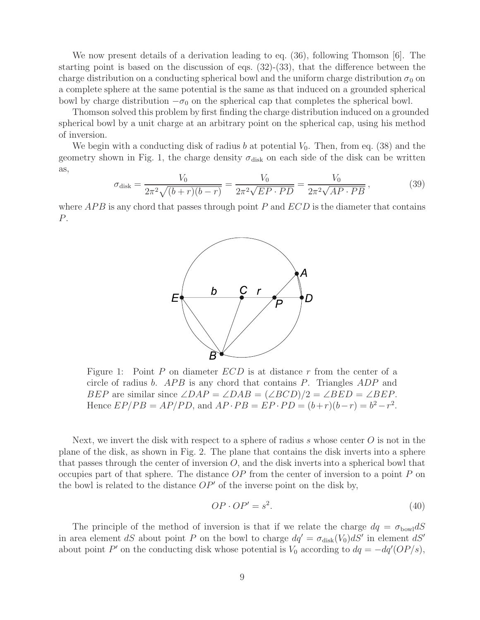We now present details of a derivation leading to eq. (36), following Thomson [6]. The starting point is based on the discussion of eqs. (32)-(33), that the difference between the charge distribution on a conducting spherical bowl and the uniform charge distribution  $\sigma_0$  on a complete sphere at the same potential is the same as that induced on a grounded spherical bowl by charge distribution  $-\sigma_0$  on the spherical cap that completes the spherical bowl.

Thomson solved this problem by first finding the charge distribution induced on a grounded spherical bowl by a unit charge at an arbitrary point on the spherical cap, using his method of inversion.

We begin with a conducting disk of radius b at potential  $V_0$ . Then, from eq. (38) and the geometry shown in Fig. 1, the charge density  $\sigma_{disk}$  on each side of the disk can be written as,

$$
\sigma_{\text{disk}} = \frac{V_0}{2\pi^2 \sqrt{(b+r)(b-r)}} = \frac{V_0}{2\pi^2 \sqrt{EP \cdot PD}} = \frac{V_0}{2\pi^2 \sqrt{AP \cdot PB}},\tag{39}
$$

where  $APB$  is any chord that passes through point P and  $ECD$  is the diameter that contains P.



Figure 1: Point  $P$  on diameter  $ECD$  is at distance  $r$  from the center of a circle of radius b. APB is any chord that contains P. Triangles ADP and BEP are similar since  $\angle DAP = \angle DAB = (\angle BCD)/2 = \angle BED = \angle BEP$ . Hence  $EP/PB = AP/PD$ , and  $AP \cdot PB = EP \cdot PD = (b+r)(b-r) = b^2 - r^2$ .

Next, we invert the disk with respect to a sphere of radius s whose center  $O$  is not in the plane of the disk, as shown in Fig. 2. The plane that contains the disk inverts into a sphere that passes through the center of inversion  $O$ , and the disk inverts into a spherical bowl that occupies part of that sphere. The distance  $OP$  from the center of inversion to a point  $P$  on the bowl is related to the distance  $OP'$  of the inverse point on the disk by,

$$
OP \cdot OP' = s^2. \tag{40}
$$

The principle of the method of inversion is that if we relate the charge  $dq = \sigma_{\text{bowl}} dS$ in area element dS about point P on the bowl to charge  $dq' = \sigma_{disk}(V_0)dS'$  in element dS' about point P' on the conducting disk whose potential is  $V_0$  according to  $dq = -dq'(OP/s)$ ,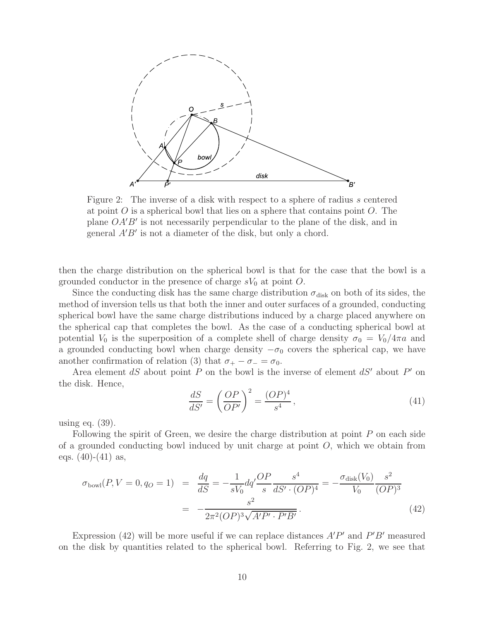

Figure 2: The inverse of a disk with respect to a sphere of radius s centered at point  $O$  is a spherical bowl that lies on a sphere that contains point  $O$ . The plane  $OA'B'$  is not necessarily perpendicular to the plane of the disk, and in general  $A'B'$  is not a diameter of the disk, but only a chord.

then the charge distribution on the spherical bowl is that for the case that the bowl is a grounded conductor in the presence of charge  $sV_0$  at point O.

Since the conducting disk has the same charge distribution  $\sigma_{disk}$  on both of its sides, the method of inversion tells us that both the inner and outer surfaces of a grounded, conducting spherical bowl have the same charge distributions induced by a charge placed anywhere on the spherical cap that completes the bowl. As the case of a conducting spherical bowl at potential  $V_0$  is the superposition of a complete shell of charge density  $\sigma_0 = V_0/4\pi a$  and a grounded conducting bowl when charge density  $-\sigma_0$  covers the spherical cap, we have another confirmation of relation (3) that  $\sigma_+ - \sigma_- = \sigma_0$ .

Area element dS about point  $\overline{P}$  on the bowl is the inverse of element dS' about  $P'$  on the disk. Hence,

$$
\frac{dS}{dS'} = \left(\frac{OP}{OP'}\right)^2 = \frac{(OP)^4}{s^4},\tag{41}
$$

using eq. (39).

Following the spirit of Green, we desire the charge distribution at point P on each side of a grounded conducting bowl induced by unit charge at point  $O$ , which we obtain from eqs.  $(40)-(41)$  as,

$$
\sigma_{\text{bowl}}(P, V = 0, q_0 = 1) = \frac{dq}{dS} = -\frac{1}{sV_0} dq' \frac{OP}{s} \frac{s^4}{dS' \cdot (OP)^4} = -\frac{\sigma_{\text{disk}}(V_0)}{V_0} \frac{s^2}{(OP)^3}
$$

$$
= -\frac{s^2}{2\pi^2 (OP)^3 \sqrt{A'P' \cdot P'B'}}.
$$
(42)

Expression (42) will be more useful if we can replace distances  $A'P'$  and  $P'B'$  measured on the disk by quantities related to the spherical bowl. Referring to Fig. 2, we see that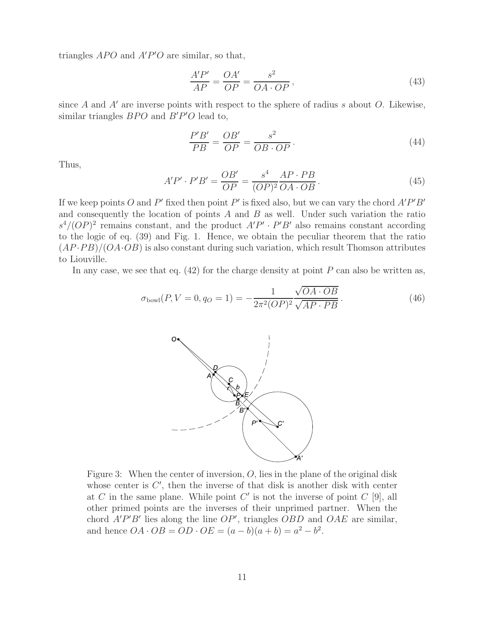triangles  $APO$  and  $A'P'O$  are similar, so that,

$$
\frac{A'P'}{AP} = \frac{OA'}{OP} = \frac{s^2}{OA \cdot OP},\tag{43}
$$

since A and  $A'$  are inverse points with respect to the sphere of radius s about O. Likewise, similar triangles  $BPO$  and  $B'P'O$  lead to,

$$
\frac{P'B'}{PB} = \frac{OB'}{OP} = \frac{s^2}{OB \cdot OP}.
$$
\n(44)

Thus,

$$
A'P' \cdot P'B' = \frac{OB'}{OP} = \frac{s^4}{(OP)^2} \frac{AP \cdot PB}{OA \cdot OB}.
$$
\n(45)

If we keep points O and P' fixed then point P' is fixed also, but we can vary the chord  $A'P'B'$ and consequently the location of points  $A$  and  $B$  as well. Under such variation the ratio  $s^4/(OP)^2$  remains constant, and the product  $A'P' \cdot P'B'$  also remains constant according to the logic of eq. (39) and Fig. 1. Hence, we obtain the peculiar theorem that the ratio  $(AP \cdot PB)/(OA \cdot OB)$  is also constant during such variation, which result Thomson attributes to Liouville.

In any case, we see that eq.  $(42)$  for the charge density at point P can also be written as,

$$
\sigma_{\text{bowl}}(P, V = 0, q_0 = 1) = -\frac{1}{2\pi^2 (OP)^2} \frac{\sqrt{OA \cdot OB}}{\sqrt{AP \cdot PB}}.
$$
\n(46)



Figure 3: When the center of inversion,  $O$ , lies in the plane of the original disk whose center is  $C'$ , then the inverse of that disk is another disk with center at C in the same plane. While point  $C'$  is not the inverse of point  $C$  [9], all other primed points are the inverses of their unprimed partner. When the chord  $A'P'B'$  lies along the line  $OP'$ , triangles  $OBD$  and  $OAE$  are similar, and hence  $OA \cdot OB = OD \cdot OE = (a - b)(a + b) = a^2 - b^2$ .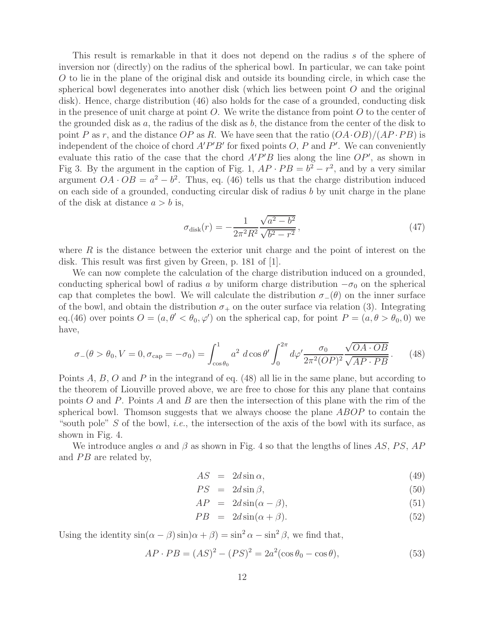This result is remarkable in that it does not depend on the radius s of the sphere of inversion nor (directly) on the radius of the spherical bowl. In particular, we can take point O to lie in the plane of the original disk and outside its bounding circle, in which case the spherical bowl degenerates into another disk (which lies between point  $O$  and the original disk). Hence, charge distribution (46) also holds for the case of a grounded, conducting disk in the presence of unit charge at point  $O$ . We write the distance from point  $O$  to the center of the grounded disk as  $a$ , the radius of the disk as  $b$ , the distance from the center of the disk to point P as r, and the distance OP as R. We have seen that the ratio  $(OA \cdot OB)/(AP \cdot PB)$  is independent of the choice of chord  $A'P'B'$  for fixed points O, P and P'. We can conveniently evaluate this ratio of the case that the chord  $A'P'B$  lies along the line  $OP'$ , as shown in Fig 3. By the argument in the caption of Fig. 1,  $AP \cdot PB = b^2 - r^2$ , and by a very similar argument  $OA \cdot OB = a^2 - b^2$ . Thus, eq. (46) tells us that the charge distribution induced on each side of a grounded, conducting circular disk of radius  $b$  by unit charge in the plane of the disk at distance  $a > b$  is,

$$
\sigma_{\text{disk}}(r) = -\frac{1}{2\pi^2 R^2} \frac{\sqrt{a^2 - b^2}}{\sqrt{b^2 - r^2}},\tag{47}
$$

where  $R$  is the distance between the exterior unit charge and the point of interest on the disk. This result was first given by Green, p. 181 of [1].

We can now complete the calculation of the charge distribution induced on a grounded, conducting spherical bowl of radius a by uniform charge distribution  $-\sigma_0$  on the spherical cap that completes the bowl. We will calculate the distribution  $\sigma_-(\theta)$  on the inner surface of the bowl, and obtain the distribution  $\sigma_+$  on the outer surface via relation (3). Integrating eq.(46) over points  $O = (a, \theta' < \theta_0, \varphi')$  on the spherical cap, for point  $P = (a, \theta > \theta_0, 0)$  we have,

$$
\sigma_{-}(\theta > \theta_0, V = 0, \sigma_{\text{cap}} = -\sigma_0) = \int_{\cos\theta_0}^{1} a^2 d\cos\theta' \int_0^{2\pi} d\varphi' \frac{\sigma_0}{2\pi^2 (OP)^2} \frac{\sqrt{OA \cdot OB}}{\sqrt{AP \cdot PB}}.
$$
 (48)

Points A, B, O and P in the integrand of eq. (48) all lie in the same plane, but according to the theorem of Liouville proved above, we are free to chose for this any plane that contains points O and P. Points A and B are then the intersection of this plane with the rim of the spherical bowl. Thomson suggests that we always choose the plane ABOP to contain the "south pole" S of the bowl, *i.e.*, the intersection of the axis of the bowl with its surface, as shown in Fig. 4.

We introduce angles  $\alpha$  and  $\beta$  as shown in Fig. 4 so that the lengths of lines AS, PS, AP and  $PB$  are related by,

$$
AS = 2d\sin\alpha,\tag{49}
$$

$$
PS = 2d\sin\beta,\tag{50}
$$

$$
AP = 2d\sin(\alpha - \beta), \tag{51}
$$

$$
PB = 2d\sin(\alpha + \beta). \tag{52}
$$

Using the identity  $\sin(\alpha - \beta) \sin(\alpha + \beta) = \sin^2 \alpha - \sin^2 \beta$ , we find that,

$$
AP \cdot PB = (AS)^{2} - (PS)^{2} = 2a^{2}(\cos \theta_{0} - \cos \theta),
$$
\n(53)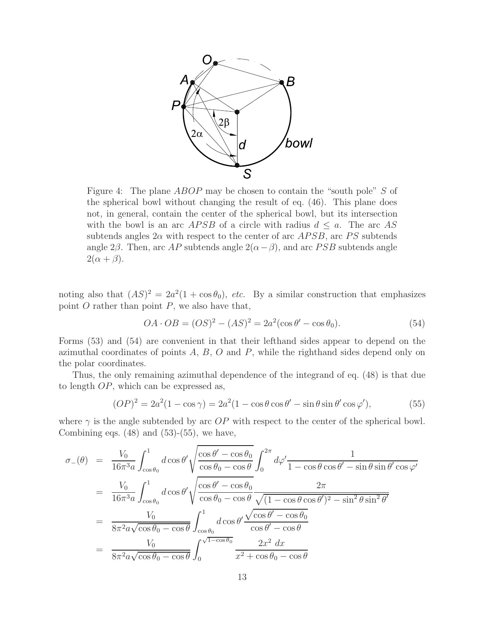

Figure 4: The plane ABOP may be chosen to contain the "south pole" S of the spherical bowl without changing the result of eq. (46). This plane does not, in general, contain the center of the spherical bowl, but its intersection with the bowl is an arc *APSB* of a circle with radius  $d \leq a$ . The arc *AS* subtends angles  $2\alpha$  with respect to the center of arc  $APSB$ , arc PS subtends angle 2 $\beta$ . Then, arc AP subtends angle 2( $\alpha - \beta$ ), and arc PSB subtends angle  $2(\alpha + \beta)$ .

noting also that  $(AS)^2 = 2a^2(1 + \cos\theta_0)$ , *etc.* By a similar construction that emphasizes point  $O$  rather than point  $P$ , we also have that,

$$
OA \cdot OB = (OS)^{2} - (AS)^{2} = 2a^{2}(\cos \theta' - \cos \theta_{0}).
$$
\n(54)

Forms (53) and (54) are convenient in that their lefthand sides appear to depend on the azimuthal coordinates of points  $A, B, O$  and  $P$ , while the righthand sides depend only on the polar coordinates.

Thus, the only remaining azimuthal dependence of the integrand of eq. (48) is that due to length OP, which can be expressed as,

$$
(OP)^{2} = 2a^{2}(1 - \cos \gamma) = 2a^{2}(1 - \cos \theta \cos \theta' - \sin \theta \sin \theta' \cos \varphi'),
$$
\n(55)

where  $\gamma$  is the angle subtended by arc OP with respect to the center of the spherical bowl. Combining eqs.  $(48)$  and  $(53)-(55)$ , we have,

$$
\sigma_{-}(\theta) = \frac{V_0}{16\pi^3 a} \int_{\cos\theta_0}^{1} d\cos\theta' \sqrt{\frac{\cos\theta' - \cos\theta_0}{\cos\theta_0 - \cos\theta}} \int_0^{2\pi} d\varphi' \frac{1}{1 - \cos\theta \cos\theta' - \sin\theta \sin\theta' \cos\varphi'}
$$
  
\n
$$
= \frac{V_0}{16\pi^3 a} \int_{\cos\theta_0}^{1} d\cos\theta' \sqrt{\frac{\cos\theta' - \cos\theta_0}{\cos\theta_0 - \cos\theta}} \frac{2\pi}{\sqrt{(1 - \cos\theta \cos\theta')^2 - \sin^2\theta \sin^2\theta'}}
$$
  
\n
$$
= \frac{V_0}{8\pi^2 a \sqrt{\cos\theta_0 - \cos\theta}} \int_{\cos\theta_0}^{1} d\cos\theta' \frac{\sqrt{\cos\theta' - \cos\theta_0}}{\cos\theta' - \cos\theta}
$$
  
\n
$$
= \frac{V_0}{8\pi^2 a \sqrt{\cos\theta_0 - \cos\theta}} \int_0^{\sqrt{1 - \cos\theta_0}} \frac{2x^2 dx}{x^2 + \cos\theta_0 - \cos\theta}
$$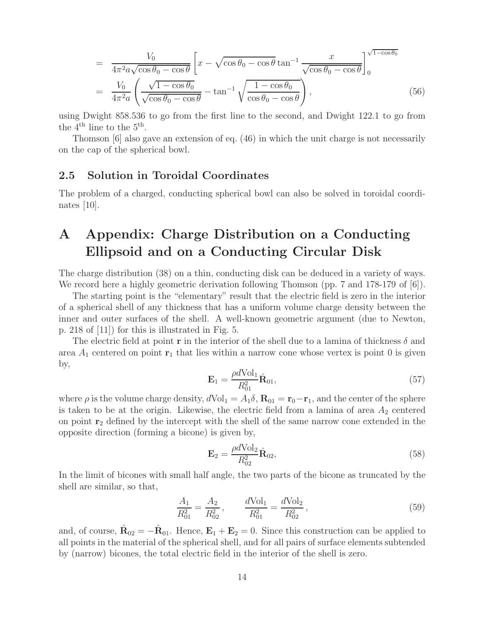$$
= \frac{V_0}{4\pi^2 a \sqrt{\cos\theta_0 - \cos\theta}} \left[ x - \sqrt{\cos\theta_0 - \cos\theta} \tan^{-1} \frac{x}{\sqrt{\cos\theta_0 - \cos\theta}} \right]_0^{\sqrt{1 - \cos\theta_0}}
$$

$$
= \frac{V_0}{4\pi^2 a} \left( \frac{\sqrt{1 - \cos\theta_0}}{\sqrt{\cos\theta_0 - \cos\theta}} - \tan^{-1} \sqrt{\frac{1 - \cos\theta_0}{\cos\theta_0 - \cos\theta}} \right), \tag{56}
$$

using Dwight 858.536 to go from the first line to the second, and Dwight 122.1 to go from the  $4^{\text{th}}$  line to the  $5^{\text{th}}$ .

Thomson [6] also gave an extension of eq. (46) in which the unit charge is not necessarily on the cap of the spherical bowl.

#### **2.5 Solution in Toroidal Coordinates**

The problem of a charged, conducting spherical bowl can also be solved in toroidal coordinates [10].

# **A Appendix: Charge Distribution on a Conducting Ellipsoid and on a Conducting Circular Disk**

The charge distribution (38) on a thin, conducting disk can be deduced in a variety of ways. We record here a highly geometric derivation following Thomson (pp. 7 and 178-179 of [6]).

The starting point is the "elementary" result that the electric field is zero in the interior of a spherical shell of any thickness that has a uniform volume charge density between the inner and outer surfaces of the shell. A well-known geometric argument (due to Newton, p. 218 of [11]) for this is illustrated in Fig. 5.

The electric field at point **r** in the interior of the shell due to a lamina of thickness  $\delta$  and area  $A_1$  centered on point  $\mathbf{r}_1$  that lies within a narrow cone whose vertex is point 0 is given by,

$$
\mathbf{E}_1 = \frac{\rho d \text{Vol}_1}{R_{01}^2} \hat{\mathbf{R}}_{01},\tag{57}
$$

where  $\rho$  is the volume charge density,  $dVol_1 = A_1 \delta$ ,  $\mathbf{R}_{01} = \mathbf{r}_0 - \mathbf{r}_1$ , and the center of the sphere is taken to be at the origin. Likewise, the electric field from a lamina of area  $A_2$  centered on point **r**<sup>2</sup> defined by the intercept with the shell of the same narrow cone extended in the opposite direction (forming a bicone) is given by,

$$
\mathbf{E}_2 = \frac{\rho d \text{Vol}_2}{R_{02}^2} \hat{\mathbf{R}}_{02},\tag{58}
$$

In the limit of bicones with small half angle, the two parts of the bicone as truncated by the shell are similar, so that,

$$
\frac{A_1}{R_{01}^2} = \frac{A_2}{R_{02}^2}, \qquad \frac{d\text{Vol}_1}{R_{01}^2} = \frac{d\text{Vol}_2}{R_{02}^2},
$$
\n(59)

and, of course,  $\mathbf{R}_{02} = -\mathbf{R}_{01}$ . Hence,  $\mathbf{E}_1 + \mathbf{E}_2 = 0$ . Since this construction can be applied to all points in the material of the spherical shell, and for all pairs of surface elements subtended by (narrow) bicones, the total electric field in the interior of the shell is zero.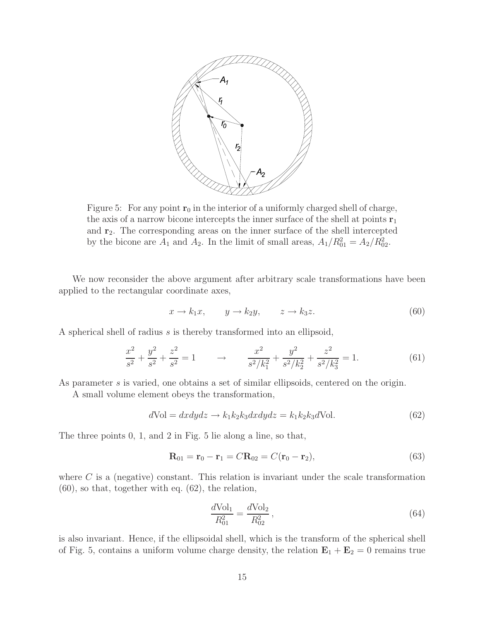

Figure 5: For any point  $r_0$  in the interior of a uniformly charged shell of charge, the axis of a narrow bicone intercepts the inner surface of the shell at points  $\mathbf{r}_1$ and **r**2. The corresponding areas on the inner surface of the shell intercepted by the bicone are  $A_1$  and  $A_2$ . In the limit of small areas,  $A_1/R_{01}^2 = A_2/R_{02}^2$ .

We now reconsider the above argument after arbitrary scale transformations have been applied to the rectangular coordinate axes,

$$
x \to k_1 x, \qquad y \to k_2 y, \qquad z \to k_3 z. \tag{60}
$$

A spherical shell of radius s is thereby transformed into an ellipsoid,

$$
\frac{x^2}{s^2} + \frac{y^2}{s^2} + \frac{z^2}{s^2} = 1 \qquad \to \qquad \frac{x^2}{s^2/k_1^2} + \frac{y^2}{s^2/k_2^2} + \frac{z^2}{s^2/k_3^2} = 1. \tag{61}
$$

As parameter s is varied, one obtains a set of similar ellipsoids, centered on the origin.

A small volume element obeys the transformation,

$$
dVol = dxdydz \to k_1k_2k_3dxdydz = k_1k_2k_3dVol.
$$
\n(62)

The three points 0, 1, and 2 in Fig. 5 lie along a line, so that,

$$
\mathbf{R}_{01} = \mathbf{r}_0 - \mathbf{r}_1 = C \mathbf{R}_{02} = C(\mathbf{r}_0 - \mathbf{r}_2), \tag{63}
$$

where  $C$  is a (negative) constant. This relation is invariant under the scale transformation (60), so that, together with eq. (62), the relation,

$$
\frac{d\text{Vol}_1}{R_{01}^2} = \frac{d\text{Vol}_2}{R_{02}^2},\tag{64}
$$

is also invariant. Hence, if the ellipsoidal shell, which is the transform of the spherical shell of Fig. 5, contains a uniform volume charge density, the relation  $\mathbf{E}_1 + \mathbf{E}_2 = 0$  remains true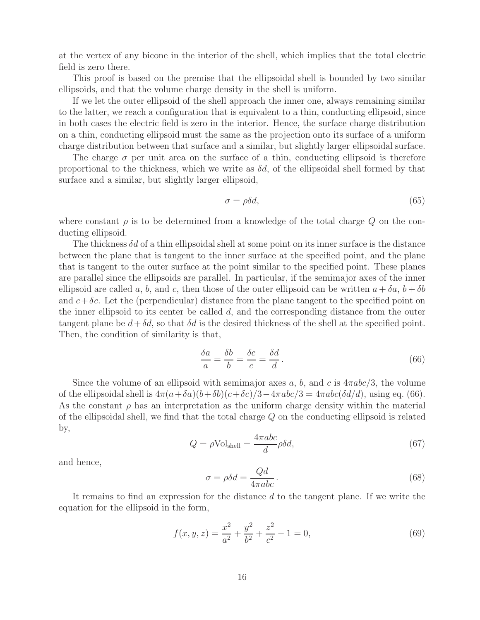at the vertex of any bicone in the interior of the shell, which implies that the total electric field is zero there.

This proof is based on the premise that the ellipsoidal shell is bounded by two similar ellipsoids, and that the volume charge density in the shell is uniform.

If we let the outer ellipsoid of the shell approach the inner one, always remaining similar to the latter, we reach a configuration that is equivalent to a thin, conducting ellipsoid, since in both cases the electric field is zero in the interior. Hence, the surface charge distribution on a thin, conducting ellipsoid must the same as the projection onto its surface of a uniform charge distribution between that surface and a similar, but slightly larger ellipsoidal surface.

The charge  $\sigma$  per unit area on the surface of a thin, conducting ellipsoid is therefore proportional to the thickness, which we write as  $\delta d$ , of the ellipsoidal shell formed by that surface and a similar, but slightly larger ellipsoid,

$$
\sigma = \rho \delta d,\tag{65}
$$

where constant  $\rho$  is to be determined from a knowledge of the total charge  $Q$  on the conducting ellipsoid.

The thickness  $\delta d$  of a thin ellipsoidal shell at some point on its inner surface is the distance between the plane that is tangent to the inner surface at the specified point, and the plane that is tangent to the outer surface at the point similar to the specified point. These planes are parallel since the ellipsoids are parallel. In particular, if the semimajor axes of the inner ellipsoid are called a, b, and c, then those of the outer ellipsoid can be written  $a + \delta a$ ,  $b + \delta b$ and  $c+\delta c$ . Let the (perpendicular) distance from the plane tangent to the specified point on the inner ellipsoid to its center be called  $d$ , and the corresponding distance from the outer tangent plane be  $d + \delta d$ , so that  $\delta d$  is the desired thickness of the shell at the specified point. Then, the condition of similarity is that,

$$
\frac{\delta a}{a} = \frac{\delta b}{b} = \frac{\delta c}{c} = \frac{\delta d}{d}.
$$
\n(66)

Since the volume of an ellipsoid with semimajor axes a, b, and c is  $4\pi abc/3$ , the volume of the ellipsoidal shell is  $4\pi(a+\delta a)(b+\delta b)(c+\delta c)/3-4\pi abc/3=4\pi abc(\delta d/d)$ , using eq. (66). As the constant  $\rho$  has an interpretation as the uniform charge density within the material of the ellipsoidal shell, we find that the total charge  $Q$  on the conducting ellipsoid is related by,

$$
Q = \rho \text{Vol}_{\text{shell}} = \frac{4\pi abc}{d} \rho \delta d,\tag{67}
$$

and hence,

$$
\sigma = \rho \delta d = \frac{Qd}{4\pi abc}.
$$
\n(68)

It remains to find an expression for the distance d to the tangent plane. If we write the equation for the ellipsoid in the form,

$$
f(x, y, z) = \frac{x^2}{a^2} + \frac{y^2}{b^2} + \frac{z^2}{c^2} - 1 = 0,
$$
\n(69)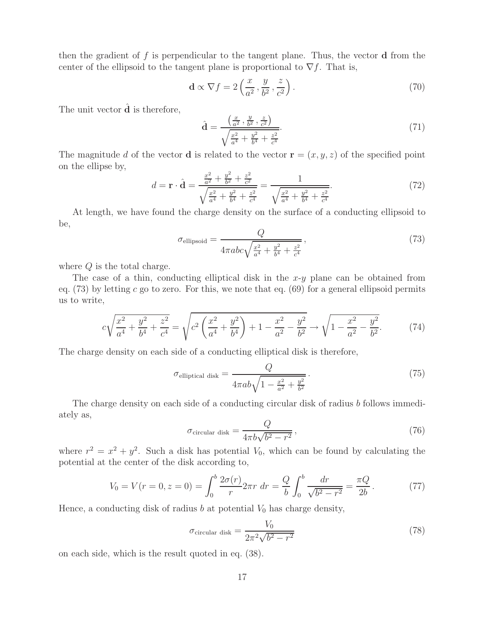then the gradient of f is perpendicular to the tangent plane. Thus, the vector **d** from the center of the ellipsoid to the tangent plane is proportional to  $\nabla f$ . That is,

$$
\mathbf{d} \propto \nabla f = 2\left(\frac{x}{a^2}, \frac{y}{b^2}, \frac{z}{c^2}\right). \tag{70}
$$

The unit vector  $\hat{\mathbf{d}}$  is therefore,

$$
\hat{\mathbf{d}} = \frac{\left(\frac{x}{a^2}, \frac{y}{b^2}, \frac{z}{c^2}\right)}{\sqrt{\frac{x^2}{a^4} + \frac{y^2}{b^4} + \frac{z^2}{c^4}}}.\tag{71}
$$

The magnitude d of the vector **d** is related to the vector  $\mathbf{r} = (x, y, z)$  of the specified point on the ellipse by,

$$
d = \mathbf{r} \cdot \hat{\mathbf{d}} = \frac{\frac{x^2}{a^2} + \frac{y^2}{b^2} + \frac{z^2}{c^2}}{\sqrt{\frac{x^2}{a^4} + \frac{y^2}{b^4} + \frac{z^2}{c^4}}} = \frac{1}{\sqrt{\frac{x^2}{a^4} + \frac{y^2}{b^4} + \frac{z^2}{c^4}}}.
$$
(72)

At length, we have found the charge density on the surface of a conducting ellipsoid to be,

$$
\sigma_{\text{ellipsoid}} = \frac{Q}{4\pi abc \sqrt{\frac{x^2}{a^4} + \frac{y^2}{b^4} + \frac{z^2}{c^4}}},\tag{73}
$$

where  $Q$  is the total charge.

The case of a thin, conducting elliptical disk in the  $x-y$  plane can be obtained from eq.  $(73)$  by letting c go to zero. For this, we note that eq.  $(69)$  for a general ellipsoid permits us to write,

$$
c\sqrt{\frac{x^2}{a^4} + \frac{y^2}{b^4} + \frac{z^2}{c^4}} = \sqrt{c^2 \left(\frac{x^2}{a^4} + \frac{y^2}{b^4}\right) + 1 - \frac{x^2}{a^2} - \frac{y^2}{b^2}} \rightarrow \sqrt{1 - \frac{x^2}{a^2} - \frac{y^2}{b^2}}.\tag{74}
$$

The charge density on each side of a conducting elliptical disk is therefore,

$$
\sigma_{\text{elliptical disk}} = \frac{Q}{4\pi ab\sqrt{1 - \frac{x^2}{a^2} + \frac{y^2}{b^2}}}.
$$
\n(75)

The charge density on each side of a conducting circular disk of radius b follows immediately as,

$$
\sigma_{\text{circular disk}} = \frac{Q}{4\pi b\sqrt{b^2 - r^2}},\tag{76}
$$

where  $r^2 = x^2 + y^2$ . Such a disk has potential  $V_0$ , which can be found by calculating the potential at the center of the disk according to,

$$
V_0 = V(r = 0, z = 0) = \int_0^b \frac{2\sigma(r)}{r} 2\pi r \, dr = \frac{Q}{b} \int_0^b \frac{dr}{\sqrt{b^2 - r^2}} = \frac{\pi Q}{2b} \,. \tag{77}
$$

Hence, a conducting disk of radius  $b$  at potential  $V_0$  has charge density,

$$
\sigma_{\text{circular disk}} = \frac{V_0}{2\pi^2 \sqrt{b^2 - r^2}}\tag{78}
$$

on each side, which is the result quoted in eq. (38).